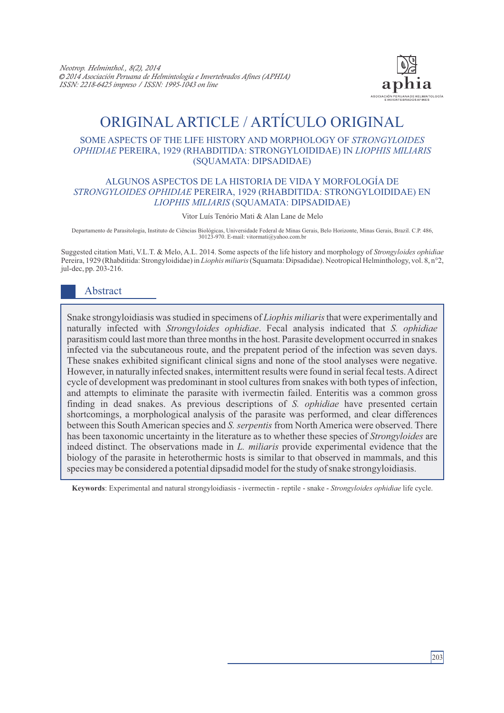

# ORIGINAL ARTICLE / ARTÍCULO ORIGINAL

#### SOME ASPECTS OF THE LIFE HISTORY AND MORPHOLOGY OF *STRONGYLOIDES OPHIDIAE* PEREIRA, 1929 (RHABDITIDA: STRONGYLOIDIDAE) IN *LIOPHIS MILIARIS* (SQUAMATA: DIPSADIDAE)

## ALGUNOS ASPECTOS DE LA HISTORIA DE VIDA Y MORFOLOGÍA DE *STRONGYLOIDES OPHIDIAE* PEREIRA, 1929 (RHABDITIDA: STRONGYLOIDIDAE) EN *LIOPHIS MILIARIS* (SQUAMATA: DIPSADIDAE)

Vitor Luís Tenório Mati & Alan Lane de Melo

Departamento de Parasitologia, Instituto de Ciências Biológicas, Universidade Federal de Minas Gerais, Belo Horizonte, Minas Gerais, Brazil. C.P. 486, 30123-970. E-mail: vitormati@yahoo.com.br

Suggested citation Mati, V.L.T. & Melo, A.L. 2014. Some aspects of the life history and morphology of *Strongyloides ophidiae* Pereira, 1929 (Rhabditida: Strongyloididae) in *Liophis miliaris*(Squamata: Dipsadidae). Neotropical Helminthology, vol. 8, n°2, jul-dec, pp. 203-216.

## Abstract

Snake strongyloidiasis was studied in specimens of *Liophis miliaris*that were experimentally and naturally infected with *Strongyloides ophidiae*. Fecal analysis indicated that *S. ophidiae* parasitism could last more than three months in the host. Parasite development occurred in snakes infected via the subcutaneous route, and the prepatent period of the infection was seven days. These snakes exhibited significant clinical signs and none of the stool analyses were negative. However, in naturally infected snakes, intermittent results were found in serial fecal tests. Adirect cycle of development was predominant in stool cultures from snakes with both types of infection, and attempts to eliminate the parasite with ivermectin failed. Enteritis was a common gross finding in dead snakes. As previous descriptions of *S. ophidiae* have presented certain shortcomings, a morphological analysis of the parasite was performed, and clear differences between this South American species and *S. serpentis* from North America were observed. There has been taxonomic uncertainty in the literature as to whether these species of *Strongyloides* are indeed distinct. The observations made in *L. miliaris* provide experimental evidence that the biology of the parasite in heterothermic hosts is similar to that observed in mammals, and this species may be considered a potential dipsadid model for the study of snake strongyloidiasis.

**Keywords**: Experimental and natural strongyloidiasis - ivermectin - reptile - snake - *Strongyloides ophidiae* life cycle.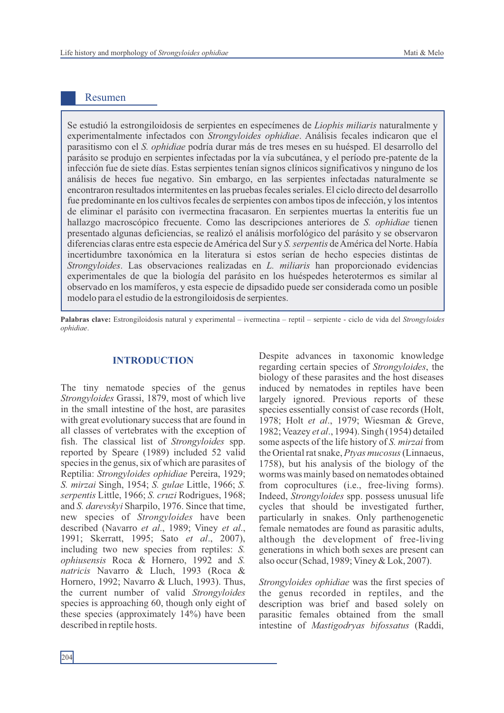## Resumen

Se estudió la estrongiloidosis de serpientes en especímenes de *Liophis miliaris* naturalmente y experimentalmente infectados con *Strongyloides ophidiae*. Análisis fecales indicaron que el parasitismo con el *S. ophidiae* podría durar más de tres meses en su huésped. El desarrollo del parásito se produjo en serpientes infectadas por la vía subcutánea, y el período pre-patente de la infección fue de siete días. Estas serpientes tenían signos clínicos significativos y ninguno de los análisis de heces fue negativo. Sin embargo, en las serpientes infectadas naturalmente se encontraron resultados intermitentes en las pruebas fecales seriales. El ciclo directo del desarrollo fue predominante en los cultivos fecales de serpientes con ambos tipos de infección, y los intentos de eliminar el parásito con ivermectina fracasaron. En serpientes muertas la enteritis fue un hallazgo macroscópico frecuente. Como las descripciones anteriores de *S. ophidiae* tienen presentado algunas deficiencias, se realizó el análisis morfológico del parásito y se observaron diferencias claras entre esta especie de América del Sur y *S. serpentis* de América del Norte. Había incertidumbre taxonómica en la literatura si estos serían de hecho especies distintas de *Strongyloides*. Las observaciones realizadas en *L. miliaris* han proporcionado evidencias experimentales de que la biología del parásito en los huéspedes heterotermos es similar al observado en los mamíferos, y esta especie de dipsadido puede ser considerada como un posible modelo para el estudio de la estrongiloidosis de serpientes.

**Palabras clave:** Estrongiloidosis natural y experimental – ivermectina – reptil – serpiente - ciclo de vida del *Strongyloides ophidiae*.

#### **INTRODUCTION**

The tiny nematode species of the genus *Strongyloides* Grassi, 1879, most of which live in the small intestine of the host, are parasites with great evolutionary success that are found in all classes of vertebrates with the exception of fish. The classical list of *Strongyloides* spp. reported by Speare (1989) included 52 valid species in the genus, six of which are parasites of Reptilia: *Strongyloides ophidiae* Pereira, 1929; *S. mirzai* Singh, 1954; *S. gulae* Little, 1966; *S. serpentis* Little, 1966; *S. cruzi* Rodrigues, 1968; and *S. darevskyi* Sharpilo, 1976. Since that time, new species of *Strongyloides* have been described (Navarro *et al*., 1989; Viney *et al*., 1991; Skerratt, 1995; Sato *et al*., 2007), including two new species from reptiles: *S. ophiusensis* Roca & Hornero, 1992 and *S. natricis* Navarro & Lluch, 1993 (Roca & Hornero, 1992; Navarro & Lluch, 1993). Thus, the current number of valid *Strongyloides* species is approaching 60, though only eight of these species (approximately 14%) have been described in reptile hosts.

Despite advances in taxonomic knowledge regarding certain species of *Strongyloides*, the biology of these parasites and the host diseases induced by nematodes in reptiles have been largely ignored. Previous reports of these species essentially consist of case records (Holt, 1978; Holt *et al*., 1979; Wiesman & Greve, 1982; Veazey *et al*., 1994). Singh (1954) detailed some aspects of the life history of *S. mirzai* from the Oriental rat snake, *Ptyas mucosus*(Linnaeus, 1758), but his analysis of the biology of the worms was mainly based on nematodes obtained from coprocultures (i.e., free-living forms). Indeed, *Strongyloides* spp. possess unusual life cycles that should be investigated further, particularly in snakes. Only parthenogenetic female nematodes are found as parasitic adults, although the development of free-living generations in which both sexes are present can also occur (Schad, 1989; Viney & Lok, 2007).

*Strongyloides ophidiae* was the first species of the genus recorded in reptiles, and the description was brief and based solely on parasitic females obtained from the small intestine of *Mastigodryas bifossatus* (Raddi,

204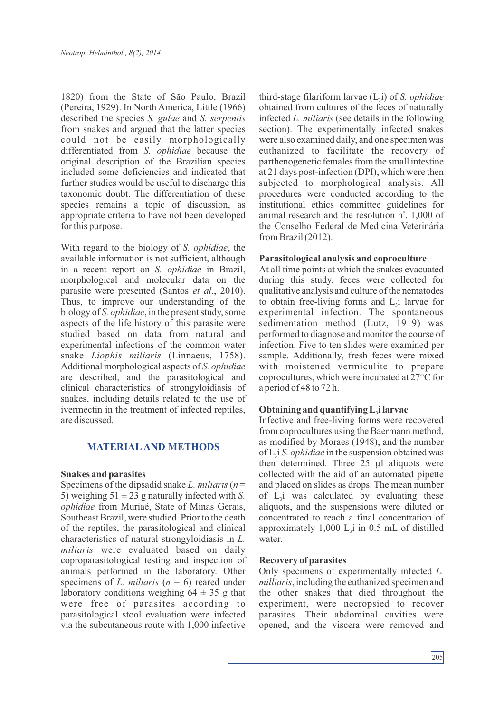1820) from the State of São Paulo, Brazil (Pereira, 1929). In North America, Little (1966) described the species *S. gulae* and *S. serpentis* from snakes and argued that the latter species could not be easily morphologically differentiated from *S. ophidiae* because the original description of the Brazilian species included some deficiencies and indicated that further studies would be useful to discharge this taxonomic doubt. The differentiation of these species remains a topic of discussion, as appropriate criteria to have not been developed for this purpose.

With regard to the biology of *S. ophidiae*, the available information is not sufficient, although in a recent report on *S. ophidiae* in Brazil, morphological and molecular data on the parasite were presented (Santos *et al*., 2010). Thus, to improve our understanding of the biology of *S. ophidiae*, in the present study, some aspects of the life history of this parasite were studied based on data from natural and experimental infections of the common water snake *Liophis miliaris* (Linnaeus, 1758). Additional morphological aspects of *S. ophidiae* are described, and the parasitological and clinical characteristics of strongyloidiasis of snakes, including details related to the use of ivermectin in the treatment of infected reptiles, are discussed.

#### **MATERIALAND METHODS**

#### **Snakes and parasites**

Specimens of the dipsadid snake *L. miliaris* (*n* = 5) weighing  $51 \pm 23$  g naturally infected with *S*. *ophidiae* from Muriaé, State of Minas Gerais, Southeast Brazil, were studied. Prior to the death of the reptiles, the parasitological and clinical characteristics of natural strongyloidiasis in *L. miliaris* were evaluated based on daily coproparasitological testing and inspection of animals performed in the laboratory. Other specimens of *L. miliaris* (*n* = 6) reared under laboratory conditions weighing  $64 \pm 35$  g that were free of parasites according to parasitological stool evaluation were infected via the subcutaneous route with 1,000 infective

third-stage filariform larvae  $(L_3)$  of *S. ophidiae* obtained from cultures of the feces of naturally infected *L. miliaris* (see details in the following section). The experimentally infected snakes were also examined daily, and one specimen was euthanized to facilitate the recovery of parthenogenetic females from the small intestine at 21 days post-infection (DPI), which were then subjected to morphological analysis. All procedures were conducted according to the institutional ethics committee guidelines for animal research and the resolution n°. 1,000 of the Conselho Federal de Medicina Veterinária from Brazil (2012).

#### **Parasitological analysis and coproculture**

At all time points at which the snakes evacuated during this study, feces were collected for qualitative analysis and culture of the nematodes to obtain free-living forms and  $L_i$  larvae for experimental infection. The spontaneous sedimentation method (Lutz, 1919) was performed to diagnose and monitor the course of infection. Five to ten slides were examined per sample. Additionally, fresh feces were mixed with moistened vermiculite to prepare coprocultures, which were incubated at 27°C for a period of 48 to 72 h.

## **Obtaining and quantifying L<sup>3</sup> i larvae**

Infective and free-living forms were recovered from coprocultures using the Baermann method, as modified by Moraes (1948), and the number of  $L_i$  *S. ophidiae* in the suspension obtained was then determined. Three 25 µl aliquots were collected with the aid of an automated pipette and placed on slides as drops. The mean number of  $L<sub>1</sub>$  was calculated by evaluating these aliquots, and the suspensions were diluted or concentrated to reach a final concentration of approximately  $1,000$  L<sub>3</sub>i in 0.5 mL of distilled water.

#### **Recovery of parasites**

Only specimens of experimentally infected *L. milliaris*, including the euthanized specimen and the other snakes that died throughout the experiment, were necropsied to recover parasites. Their abdominal cavities were opened, and the viscera were removed and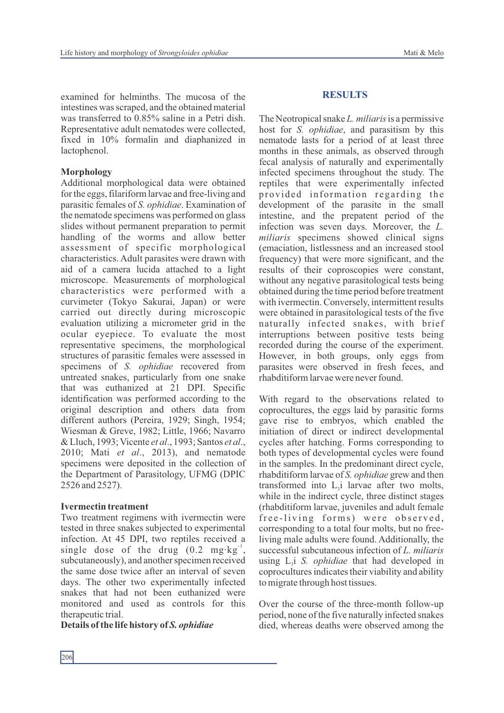examined for helminths. The mucosa of the intestines was scraped, and the obtained material was transferred to 0.85% saline in a Petri dish. Representative adult nematodes were collected, fixed in 10% formalin and diaphanized in lactophenol.

## **Morphology**

Additional morphological data were obtained for the eggs, filariform larvae and free-living and parasitic females of *S. ophidiae*. Examination of the nematode specimens was performed on glass slides without permanent preparation to permit handling of the worms and allow better assessment of specific morphological characteristics. Adult parasites were drawn with aid of a camera lucida attached to a light microscope. Measurements of morphological characteristics were performed with a curvimeter (Tokyo Sakurai, Japan) or were carried out directly during microscopic evaluation utilizing a micrometer grid in the ocular eyepiece. To evaluate the most representative specimens, the morphological structures of parasitic females were assessed in specimens of *S. ophidiae* recovered from untreated snakes, particularly from one snake that was euthanized at 21 DPI. Specific identification was performed according to the original description and others data from different authors (Pereira, 1929; Singh, 1954; Wiesman & Greve, 1982; Little, 1966; Navarro & Lluch, 1993; Vicente *et al*., 1993; Santos *et al*., 2010; Mati *et al*., 2013), and nematode specimens were deposited in the collection of the Department of Parasitology, UFMG (DPIC 2526 and 2527).

## **Ivermectin treatment**

Two treatment regimens with ivermectin were tested in three snakes subjected to experimental infection. At 45 DPI, two reptiles received a single dose of the drug  $(0.2 \text{ mg} \cdot \text{kg}^{-1})$ , subcutaneously), and another specimen received the same dose twice after an interval of seven days. The other two experimentally infected snakes that had not been euthanized were monitored and used as controls for this therapeutic trial.

**Details of the life history of** *S. ophidiae*

#### **RESULTS**

The Neotropical snake *L. miliaris* is a permissive host for *S. ophidiae*, and parasitism by this nematode lasts for a period of at least three months in these animals, as observed through fecal analysis of naturally and experimentally infected specimens throughout the study. The reptiles that were experimentally infected provided information regarding the development of the parasite in the small intestine, and the prepatent period of the infection was seven days. Moreover, the *L. miliaris* specimens showed clinical signs (emaciation, listlessness and an increased stool frequency) that were more significant, and the results of their coproscopies were constant, without any negative parasitological tests being obtained during the time period before treatment with ivermectin. Conversely, intermittent results were obtained in parasitological tests of the five naturally infected snakes, with brief interruptions between positive tests being recorded during the course of the experiment. However, in both groups, only eggs from parasites were observed in fresh feces, and rhabditiform larvae were never found.

With regard to the observations related to coprocultures, the eggs laid by parasitic forms gave rise to embryos, which enabled the initiation of direct or indirect developmental cycles after hatching. Forms corresponding to both types of developmental cycles were found in the samples. In the predominant direct cycle, rhabditiform larvae of *S. ophidiae* grew and then transformed into  $L_i$  larvae after two molts, while in the indirect cycle, three distinct stages (rhabditiform larvae, juveniles and adult female free-living forms) were observed, corresponding to a total four molts, but no freeliving male adults were found. Additionally, the successful subcutaneous infection of *L. miliaris* using L<sub>3</sub>i *S. ophidiae* that had developed in coprocultures indicates their viability and ability to migrate through host tissues.

Over the course of the three-month follow-up period, none of the five naturally infected snakes died, whereas deaths were observed among the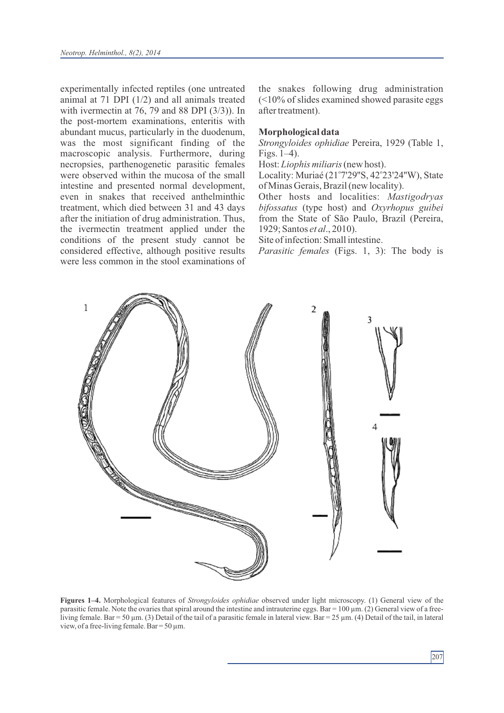experimentally infected reptiles (one untreated animal at 71 DPI (1/2) and all animals treated with ivermectin at 76, 79 and 88 DPI (3/3)). In the post-mortem examinations, enteritis with abundant mucus, particularly in the duodenum, was the most significant finding of the macroscopic analysis. Furthermore, during necropsies, parthenogenetic parasitic females were observed within the mucosa of the small intestine and presented normal development, even in snakes that received anthelminthic treatment, which died between 31 and 43 days after the initiation of drug administration. Thus, the ivermectin treatment applied under the conditions of the present study cannot be considered effective, although positive results were less common in the stool examinations of the snakes following drug administration  $($ after treatment).

#### **Morphological data**

*Strongyloides ophidiae* Pereira, 1929 (Table 1, Figs. 1–4).

Host: *Liophis miliaris*(new host).

Locality: Muriaé (21°7'29"S, 42°23'24"W), State of Minas Gerais, Brazil (new locality).

Other hosts and localities: *Mastigodryas bifossatus* (type host) and *Oxyrhopus guibei* from the State of São Paulo, Brazil (Pereira, 1929; Santos *et al*., 2010).

Site of infection: Small intestine.

*Parasitic females* (Figs. 1, 3): The body is

 $\mathbf{1}$  $\overline{2}$ 3 4

**Figures 1–4.** Morphological features of *Strongyloides ophidiae* observed under light microscopy. (1) General view of the parasitic female. Note the ovaries that spiral around the intestine and intrauterine eggs. Bar =  $100 \mu m$ . (2) General view of a freeliving female. Bar = 50  $\mu$ m. (3) Detail of the tail of a parasitic female in lateral view. Bar = 25  $\mu$ m. (4) Detail of the tail, in lateral view, of a free-living female. Bar =  $50 \mu$ m.

207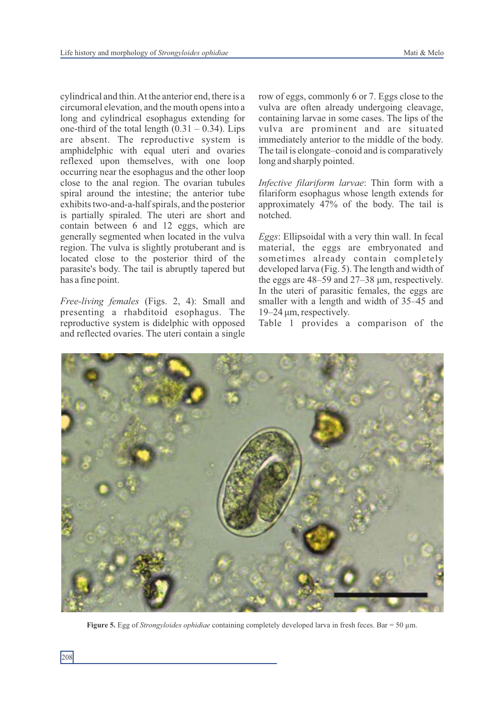cylindrical and thin. At the anterior end, there is a circumoral elevation, and the mouth opens into a long and cylindrical esophagus extending for one-third of the total length  $(0.31 - 0.34)$ . Lips are absent. The reproductive system is amphidelphic with equal uteri and ovaries reflexed upon themselves, with one loop occurring near the esophagus and the other loop close to the anal region. The ovarian tubules spiral around the intestine; the anterior tube exhibits two-and-a-half spirals, and the posterior is partially spiraled. The uteri are short and contain between 6 and 12 eggs, which are generally segmented when located in the vulva region. The vulva is slightly protuberant and is located close to the posterior third of the parasite's body. The tail is abruptly tapered but has a fine point.

*Free-living females* (Figs. 2, 4): Small and presenting a rhabditoid esophagus. The reproductive system is didelphic with opposed and reflected ovaries. The uteri contain a single row of eggs, commonly 6 or 7. Eggs close to the vulva are often already undergoing cleavage, containing larvae in some cases. The lips of the vulva are prominent and are situated immediately anterior to the middle of the body. The tail is elongate–conoid and is comparatively long and sharply pointed.

*Infective filariform larvae*: Thin form with a filariform esophagus whose length extends for approximately 47% of the body. The tail is notched.

*Eggs*: Ellipsoidal with a very thin wall. In fecal material, the eggs are embryonated and sometimes already contain completely developed larva (Fig. 5). The length and width of the eggs are 48–59 and 27–38 μm, respectively. In the uteri of parasitic females, the eggs are smaller with a length and width of 35–45 and 19–24 μm, respectively.

Table 1 provides a comparison of the



**Figure 5.** Egg of *Strongyloides ophidiae* containing completely developed larva in fresh feces. Bar = 50 µm.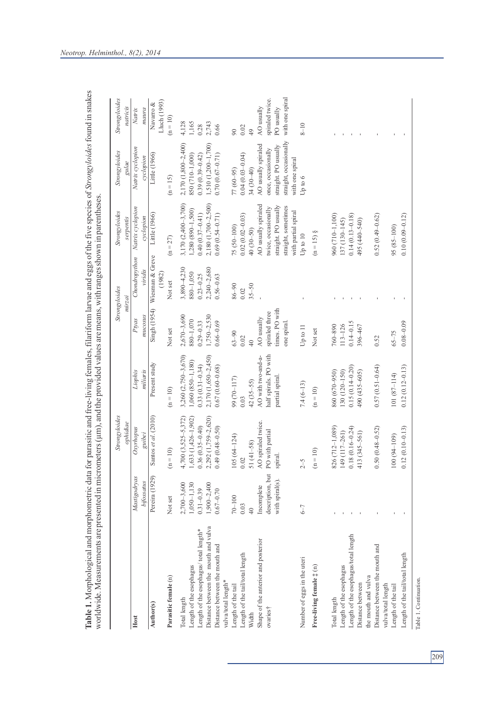|                                                       |                  | Strongyloides        |                       |                 | Strongyloides                | Strongyloides        | Strongyloides          | Strongyloides   |
|-------------------------------------------------------|------------------|----------------------|-----------------------|-----------------|------------------------------|----------------------|------------------------|-----------------|
|                                                       |                  | ophidiae             |                       |                 | mirzai                       | serpentis            | gulae                  | natricis        |
| Host                                                  | Mastigodryas     | Oxyrhopus            | Liophis               | Ptyas           | Chondropython                | Natrix cyclopion     | Natrix cyclopion       | Natrix          |
|                                                       | bifossatus       | guibei               | miliaris              | mucosus         | viridis                      | cyclopion            | cyclopion              | m               |
| Author(s)                                             | Pereira (1929)   | Santos et al. (2010) | Present study         |                 | Singh (1954) Wiesman & Greve | Little (1966)        | Little (1966)          | Navarro &       |
|                                                       |                  |                      |                       |                 | (1982)                       |                      |                        | Lluch (1993)    |
| Parasitic female (n)                                  | Not set          | $\left( n=10\right)$ | $(n = 10)$            | Not set         | Not set                      | $(n = 27)$           | $(n = 15)$             | $(n = 10)$      |
| Total length                                          | $2,700 - 3,600$  | $4,700(3,525-5,372)$ | 3,260 (2,750-3,670)   | $2,670 - 3,690$ | $3,890 - 4,230$              | $3,170(2,400-3,700)$ | 2,170 (1,800-2,400)    | 4,128           |
| Length of the esophagus                               | $1,050 - 1,130$  | 1,633 (1,426-1,902)  | 1,060 (850-1,180)     | 880-1,070       | 880-1,050                    | 1,280 (890-1,500)    | 850 (710-1,000)        | 1,165           |
| Length of the esophagus/ total length*                | $0.31 - 0.39$    | $0.36(0.35 - 0.40)$  | $0.33(0.31 - 0.34)$   | $0.29 - 0.33$   | $0.23 - 0.25$                | $0.40(0.37 - 0.41)$  | $0.39(0.39 - 0.42)$    | 0.28            |
| Distance between the mouth and vulva                  | $1,900 - 2,400$  | 2,292 (1,759-2,620)  | 2,170 (1,650-2,450)   | $1,750-2,530$   | 2,240-2,680                  | 2,180 (1,700-2,500)  | 1,510 (1,200-1,700)    | 2,743           |
| Distance between the mouth and<br>vulva/total length* | $0.67 - 0.70$    | $0.49(0.48 - 0.50)$  | $0.67(0.60 - 0.68)$   | $0.66 - 0.69$   | $0.56 - 0.63$                | $0.69(0.54 - 0.71)$  | $0.70(0.67 - 0.71)$    | 0.66            |
| Length of the tail                                    | $70 - 100$       | $105(64-124)$        | 99 (70-117)           | $63 - 90$       | $06 - 98$                    | 75 (50-100)          | 77 (60-95)             | 90              |
|                                                       |                  |                      |                       |                 |                              |                      |                        |                 |
| Length of the tail/total length                       | 0.03             | $0.02\,$             | 0.03                  | 0.02            | 0.02                         | $0.02(0.02 - 0.03)$  | $0.04(0.03 - 0.04)$    | 0.02            |
| Width                                                 | 40               | 51 (41-58)           | $42(35-55)$           | $rac{40}{5}$    | $35 - 50$                    | $40(30-50)$          | $34(30-40)$            | 49              |
| Shape of the anterior and posterior                   | Incomplete       | AO spiraled twice.   | AO with two-and-a-    | AO usually      |                              | AO usually spiraled  | AO usually spiraled    | AO usually      |
| ovaries†                                              | description, but | PO with partial      | half spirals. PO with | spiraled three  |                              | twice, occasionally  | once, occasionally     | spiraled twice. |
|                                                       | with spiral(s).  | spiral.              | partial spiral.       | times. PO with  |                              | straight. PO usually | straight. PO usually   | PO usually      |
|                                                       |                  |                      |                       | one spiral      |                              | straight, sometimes  | straight, occasionally | with one spiral |
|                                                       |                  |                      |                       |                 |                              | with partial spiral  | with one spiral        |                 |
| Number of eggs in the uteri                           | $6 - 7$          | $2 - 5$              | $7.4(6-13)$           | Up to $11$      |                              | Up to 10             | Up to 6                | $8 - 10$        |
| Free-living female $\ddagger$ (n)                     |                  | $(n = 10)$           | $\left( n=10\right)$  | Not set         |                              | $(n = 15)$ §         |                        |                 |
| Total length                                          |                  | 826 (712-1,089)      | 860 (670-950)         | 760-890         |                              | 960 (710-1,100)      |                        |                 |
| Length of the esophagus                               |                  | 149 (117-261)        | 130 (120-150)         | $113 - 126$     |                              | 137 (130-145)        |                        |                 |
| Length of the esophagus/total length                  |                  | $0.18(0.16 - 0.24)$  | $0.15(0.14 - 0.20)$   | $0.14 - 0.15$   |                              | $0.14(0.13 - 0.18)$  |                        |                 |
| Distance between                                      |                  | 413 (345-561)        | 490 (435-605)         | 396-467         |                              | 495 (440-540)        |                        |                 |
| the mouth and vulva                                   |                  |                      |                       |                 |                              |                      |                        |                 |
| Distance between the mouth and                        |                  | $0.50(0.48 - 0.52)$  | $0.57(0.51 - 0.64)$   | 0.52            |                              | $0.52(0.49 - 0.62)$  |                        |                 |
| vulva/total length                                    |                  |                      |                       |                 |                              |                      |                        |                 |
| Length of the tail                                    |                  | $100(94-109)$        | 101 (87-114)          | $65 - 75$       |                              | 95 (85-100)          |                        |                 |
| Length of the tail/total length                       |                  | $0.12(0.10 - 0.13)$  | $0.12(0.12 - 0.13)$   | $0.08 - 0.09$   |                              | $0.10(0.09 - 0.12)$  |                        |                 |

*Neotrop. Helminthol., 8(2), 2014*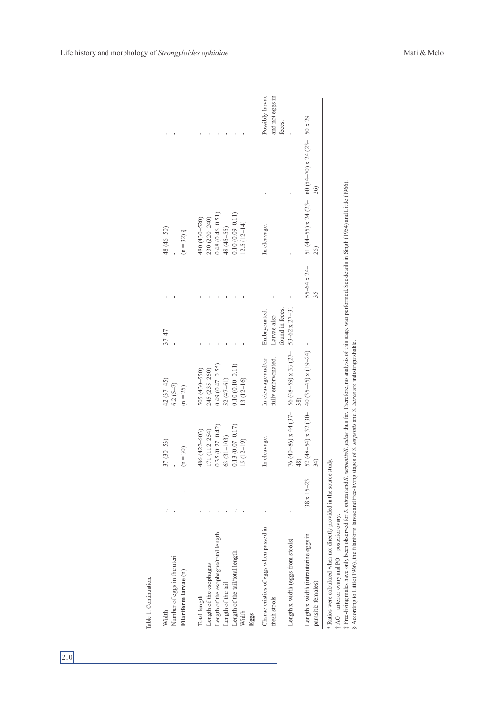| Width                                                                                                                                                                                                         |                     | $37(30 - 53)$                                                                                                                             | 42 (37-45)                                  | $37 - 47$                |                       | 48 (46–50)          |                                                 |                 |
|---------------------------------------------------------------------------------------------------------------------------------------------------------------------------------------------------------------|---------------------|-------------------------------------------------------------------------------------------------------------------------------------------|---------------------------------------------|--------------------------|-----------------------|---------------------|-------------------------------------------------|-----------------|
| Number of eggs in the uteri                                                                                                                                                                                   |                     |                                                                                                                                           | $6.2(5-7)$                                  |                          |                       |                     |                                                 |                 |
| Filariform larvae (n)                                                                                                                                                                                         |                     | $(n = 30)$                                                                                                                                | $(n = 25)$                                  |                          |                       | $(n = 32)$ §        |                                                 |                 |
| Total length                                                                                                                                                                                                  |                     | 486 (422-603)                                                                                                                             | 505 (430-550)                               |                          |                       | 480 (430-520)       |                                                 |                 |
| Length of the esophagus                                                                                                                                                                                       |                     | 171 (112-254)                                                                                                                             | 245 (235-260)                               |                          |                       | 230 (220-240)       |                                                 |                 |
| Length of the esophagus/total length                                                                                                                                                                          |                     | $0.35(0.27 - 0.42)$                                                                                                                       | $0.49(0.47-0.55)$                           |                          |                       | $0.48(0.46 - 0.51)$ |                                                 |                 |
| Length of the tail                                                                                                                                                                                            |                     | 63 (31-103)                                                                                                                               | 52 (47-61)                                  |                          |                       | 48 (45-55)          |                                                 |                 |
| Length of the tail/total length                                                                                                                                                                               |                     | $0.13(0.07 - 0.17)$                                                                                                                       | $0.10(0.10 - 0.11)$                         |                          |                       | $0.10(0.09 - 0.11)$ |                                                 |                 |
| Width<br>Eggs                                                                                                                                                                                                 |                     | $5(12-19)$                                                                                                                                | $13(12-16)$                                 |                          |                       | $12.5(12-14)$       |                                                 |                 |
|                                                                                                                                                                                                               |                     |                                                                                                                                           |                                             |                          |                       |                     |                                                 |                 |
| Characteristics of eggs when passed in                                                                                                                                                                        |                     | In cleavage.                                                                                                                              | In cleavage and/or                          | Embryonated.             |                       | In cleavage.        |                                                 | Possibly larvae |
| fresh stools                                                                                                                                                                                                  |                     |                                                                                                                                           | fully embryonated.                          | Larvae also              |                       |                     |                                                 | and not eggs in |
|                                                                                                                                                                                                               |                     |                                                                                                                                           |                                             | found in feces.          |                       |                     |                                                 | feces.          |
| Length x width (eggs from stools)                                                                                                                                                                             |                     |                                                                                                                                           | 76 (40-86) x 44 (37 - 56 (48-59) x 33 (27 - | $53 - 62 \times 27 - 31$ |                       |                     |                                                 |                 |
| Length x width (intrauterine eggs in                                                                                                                                                                          | $38 \times 15 - 23$ | 52 (48-54) x 32 (30-                                                                                                                      | 40 $(35-45)$ x $(19-24)$                    |                          | $55 - 64 \times 24 -$ |                     | 51 (44-55) x 24 (23-60 (54-70) x 24 (23-50 x 29 |                 |
| parasitic females)                                                                                                                                                                                            |                     | 34)                                                                                                                                       |                                             |                          | 35                    | 26)                 | $^{26}$                                         |                 |
| Ratios were calculated when not directly provided in the source<br>t Free-living males have only been observed for <i>S. mirzai</i> and <i>S.</i><br>$\uparrow$ AO = anterior ovary and PO = posterior ovary. |                     | serpentis/S. gulae thus far. Therefore, no analysis of this stage was performed. See details in Singh (1954) and Little (1966).<br>study. |                                             |                          |                       |                     |                                                 |                 |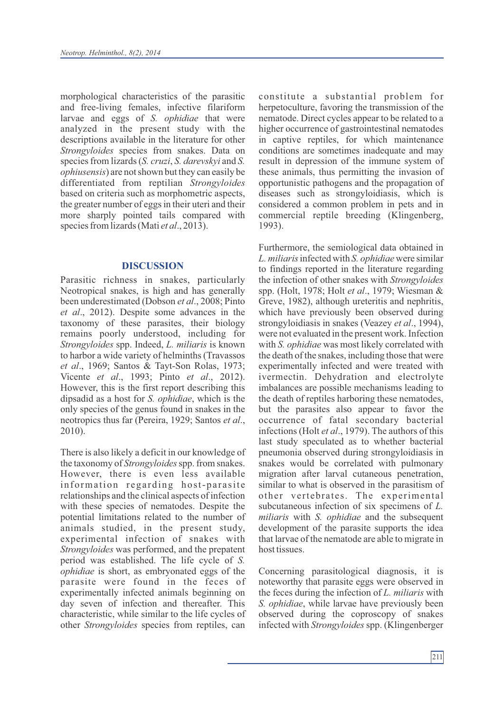morphological characteristics of the parasitic and free-living females, infective filariform larvae and eggs of *S. ophidiae* that were analyzed in the present study with the descriptions available in the literature for other *Strongyloides* species from snakes. Data on species from lizards (*S. cruzi*, *S. darevskyi* and *S. ophiusensis*) are not shown but they can easily be differentiated from reptilian *Strongyloides* based on criteria such as morphometric aspects, the greater number of eggs in their uteri and their more sharply pointed tails compared with species from lizards (Mati *et al.*, 2013).

## **DISCUSSION**

Parasitic richness in snakes, particularly Neotropical snakes, is high and has generally been underestimated (Dobson *et al*., 2008; Pinto *et al*., 2012). Despite some advances in the taxonomy of these parasites, their biology remains poorly understood, including for *Strongyloides* spp. Indeed, *L. miliaris* is known to harbor a wide variety of helminths (Travassos *et al*., 1969; Santos & Tayt-Son Rolas, 1973; Vicente *et al*., 1993; Pinto *et al*., 2012). However, this is the first report describing this dipsadid as a host for *S. ophidiae*, which is the only species of the genus found in snakes in the neotropics thus far (Pereira, 1929; Santos *et al*., 2010).

There is also likely a deficit in our knowledge of the taxonomy of *Strongyloides*spp. from snakes. However, there is even less available information regarding host-parasite relationships and the clinical aspects of infection with these species of nematodes. Despite the potential limitations related to the number of animals studied, in the present study, experimental infection of snakes with *Strongyloides* was performed, and the prepatent period was established. The life cycle of *S. ophidiae* is short, as embryonated eggs of the parasite were found in the feces of experimentally infected animals beginning on day seven of infection and thereafter. This characteristic, while similar to the life cycles of other *Strongyloides* species from reptiles, can

constitute a substantial problem for herpetoculture, favoring the transmission of the nematode. Direct cycles appear to be related to a higher occurrence of gastrointestinal nematodes in captive reptiles, for which maintenance conditions are sometimes inadequate and may result in depression of the immune system of these animals, thus permitting the invasion of opportunistic pathogens and the propagation of diseases such as strongyloidiasis, which is considered a common problem in pets and in commercial reptile breeding (Klingenberg, 1993).

Furthermore, the semiological data obtained in *L. miliaris*infected with *S. ophidiae* were similar to findings reported in the literature regarding the infection of other snakes with *Strongyloides* spp. (Holt, 1978; Holt *et al*., 1979; Wiesman & Greve, 1982), although ureteritis and nephritis, which have previously been observed during strongyloidiasis in snakes (Veazey *et al*., 1994), were not evaluated in the present work. Infection with *S. ophidiae* was most likely correlated with the death of the snakes, including those that were experimentally infected and were treated with ivermectin. Dehydration and electrolyte imbalances are possible mechanisms leading to the death of reptiles harboring these nematodes, but the parasites also appear to favor the occurrence of fatal secondary bacterial infections (Holt *et al*., 1979). The authors of this last study speculated as to whether bacterial pneumonia observed during strongyloidiasis in snakes would be correlated with pulmonary migration after larval cutaneous penetration, similar to what is observed in the parasitism of other vertebrates. The experimental subcutaneous infection of six specimens of *L. miliaris* with *S. ophidiae* and the subsequent development of the parasite supports the idea that larvae of the nematode are able to migrate in host tissues.

Concerning parasitological diagnosis, it is noteworthy that parasite eggs were observed in the feces during the infection of *L. miliaris* with *S. ophidiae*, while larvae have previously been observed during the coproscopy of snakes infected with *Strongyloides* spp. (Klingenberger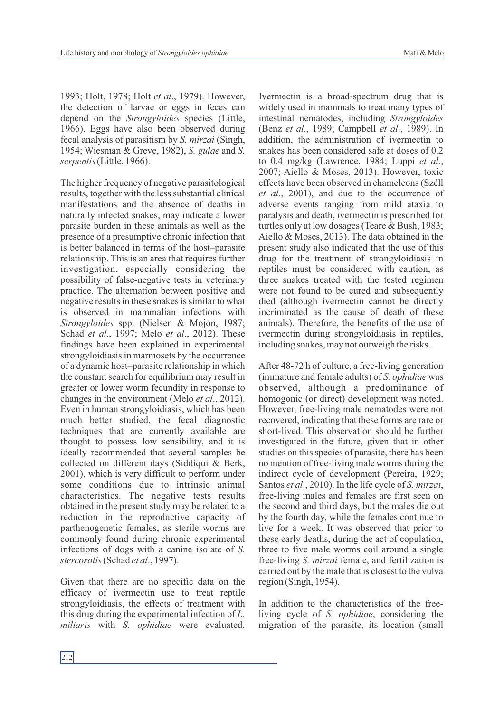1993; Holt, 1978; Holt *et al*., 1979). However, the detection of larvae or eggs in feces can depend on the *Strongyloides* species (Little, 1966). Eggs have also been observed during fecal analysis of parasitism by *S. mirzai* (Singh, 1954; Wiesman & Greve, 1982), *S. gulae* and *S. serpentis*(Little, 1966).

The higher frequency of negative parasitological results, together with the less substantial clinical manifestations and the absence of deaths in naturally infected snakes, may indicate a lower parasite burden in these animals as well as the presence of a presumptive chronic infection that is better balanced in terms of the host–parasite relationship. This is an area that requires further investigation, especially considering the possibility of false-negative tests in veterinary practice. The alternation between positive and negative results in these snakes is similar to what is observed in mammalian infections with *Strongyloides* spp. (Nielsen & Mojon, 1987; Schad *et al*., 1997; Melo *et al*., 2012). These findings have been explained in experimental strongyloidiasis in marmosets by the occurrence of a dynamic host–parasite relationship in which the constant search for equilibrium may result in greater or lower worm fecundity in response to changes in the environment (Melo *et al*., 2012). Even in human strongyloidiasis, which has been much better studied, the fecal diagnostic techniques that are currently available are thought to possess low sensibility, and it is ideally recommended that several samples be collected on different days (Siddiqui & Berk, 2001), which is very difficult to perform under some conditions due to intrinsic animal characteristics. The negative tests results obtained in the present study may be related to a reduction in the reproductive capacity of parthenogenetic females, as sterile worms are commonly found during chronic experimental infections of dogs with a canine isolate of *S. stercoralis* (Schad *et al*., 1997).

Given that there are no specific data on the efficacy of ivermectin use to treat reptile strongyloidiasis, the effects of treatment with this drug during the experimental infection of *L. miliaris* with *S. ophidiae* were evaluated.

Ivermectin is a broad-spectrum drug that is widely used in mammals to treat many types of intestinal nematodes, including *Strongyloides* (Benz *et al*., 1989; Campbell *et al*., 1989). In addition, the administration of ivermectin to snakes has been considered safe at doses of 0.2 to 0.4 mg/kg (Lawrence, 1984; Luppi *et al*., 2007; Aiello & Moses, 2013). However, toxic effects have been observed in chameleons (Széll *et al*., 2001), and due to the occurrence of adverse events ranging from mild ataxia to paralysis and death, ivermectin is prescribed for turtles only at low dosages (Teare & Bush, 1983; Aiello & Moses, 2013). The data obtained in the present study also indicated that the use of this drug for the treatment of strongyloidiasis in reptiles must be considered with caution, as three snakes treated with the tested regimen were not found to be cured and subsequently died (although ivermectin cannot be directly incriminated as the cause of death of these animals). Therefore, the benefits of the use of ivermectin during strongyloidiasis in reptiles, including snakes, may not outweigh the risks.

After 48-72 h of culture, a free-living generation (immature and female adults) of *S. ophidiae* was observed, although a predominance of homogonic (or direct) development was noted. However, free-living male nematodes were not recovered, indicating that these forms are rare or short-lived. This observation should be further investigated in the future, given that in other studies on this species of parasite, there has been no mention of free-living male worms during the indirect cycle of development (Pereira, 1929; Santos *et al*., 2010). In the life cycle of *S. mirzai*, free-living males and females are first seen on the second and third days, but the males die out by the fourth day, while the females continue to live for a week. It was observed that prior to these early deaths, during the act of copulation, three to five male worms coil around a single free-living *S. mirzai* female, and fertilization is carried out by the male that is closest to the vulva region (Singh, 1954).

In addition to the characteristics of the freeliving cycle of *S. ophidiae*, considering the migration of the parasite, its location (small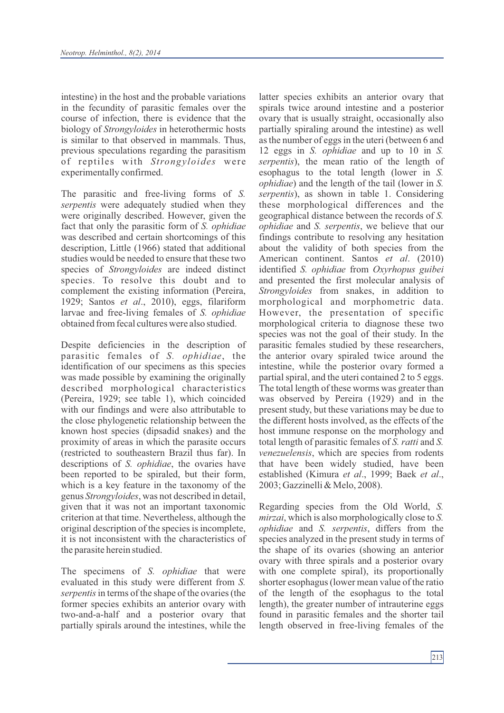intestine) in the host and the probable variations in the fecundity of parasitic females over the course of infection, there is evidence that the biology of *Strongyloides* in heterothermic hosts is similar to that observed in mammals. Thus, previous speculations regarding the parasitism of reptiles with *Strongyloides* were experimentally confirmed.

The parasitic and free-living forms of *S. serpentis* were adequately studied when they were originally described. However, given the fact that only the parasitic form of *S. ophidiae* was described and certain shortcomings of this description, Little (1966) stated that additional studies would be needed to ensure that these two species of *Strongyloides* are indeed distinct species. To resolve this doubt and to complement the existing information (Pereira, 1929; Santos *et al*., 2010), eggs, filariform larvae and free-living females of *S. ophidiae* obtained from fecal cultures were also studied.

Despite deficiencies in the description of parasitic females of *S. ophidiae*, the identification of our specimens as this species was made possible by examining the originally described morphological characteristics (Pereira, 1929; see table 1), which coincided with our findings and were also attributable to the close phylogenetic relationship between the known host species (dipsadid snakes) and the proximity of areas in which the parasite occurs (restricted to southeastern Brazil thus far). In descriptions of *S. ophidiae*, the ovaries have been reported to be spiraled, but their form, which is a key feature in the taxonomy of the genus *Strongyloides*, was not described in detail, given that it was not an important taxonomic criterion at that time. Nevertheless, although the original description of the species is incomplete, it is not inconsistent with the characteristics of the parasite herein studied.

The specimens of *S. ophidiae* that were evaluated in this study were different from *S. serpentis*in terms of the shape of the ovaries (the former species exhibits an anterior ovary with two-and-a-half and a posterior ovary that partially spirals around the intestines, while the latter species exhibits an anterior ovary that spirals twice around intestine and a posterior ovary that is usually straight, occasionally also partially spiraling around the intestine) as well as the number of eggs in the uteri (between 6 and 12 eggs in *S. ophidiae* and up to 10 in *S. serpentis*), the mean ratio of the length of esophagus to the total length (lower in *S. ophidiae*) and the length of the tail (lower in *S. serpentis*), as shown in table 1. Considering these morphological differences and the geographical distance between the records of *S. ophidiae* and *S. serpentis*, we believe that our findings contribute to resolving any hesitation about the validity of both species from the American continent. Santos *et al*. (2010) identified *S. ophidiae* from *Oxyrhopus guibei*  and presented the first molecular analysis of *Strongyloides* from snakes, in addition to morphological and morphometric data. However, the presentation of specific morphological criteria to diagnose these two species was not the goal of their study. In the parasitic females studied by these researchers, the anterior ovary spiraled twice around the intestine, while the posterior ovary formed a partial spiral, and the uteri contained 2 to 5 eggs. The total length of these worms was greater than was observed by Pereira (1929) and in the present study, but these variations may be due to the different hosts involved, as the effects of the host immune response on the morphology and total length of parasitic females of *S. ratti* and *S. venezuelensis*, which are species from rodents that have been widely studied, have been established (Kimura *et al*., 1999; Baek *et al*., 2003; Gazzinelli & Melo, 2008).

Regarding species from the Old World, *S. mirzai*, which is also morphologically close to *S. ophidiae* and *S. serpentis*, differs from the species analyzed in the present study in terms of the shape of its ovaries (showing an anterior ovary with three spirals and a posterior ovary with one complete spiral), its proportionally shorter esophagus (lower mean value of the ratio of the length of the esophagus to the total length), the greater number of intrauterine eggs found in parasitic females and the shorter tail length observed in free-living females of the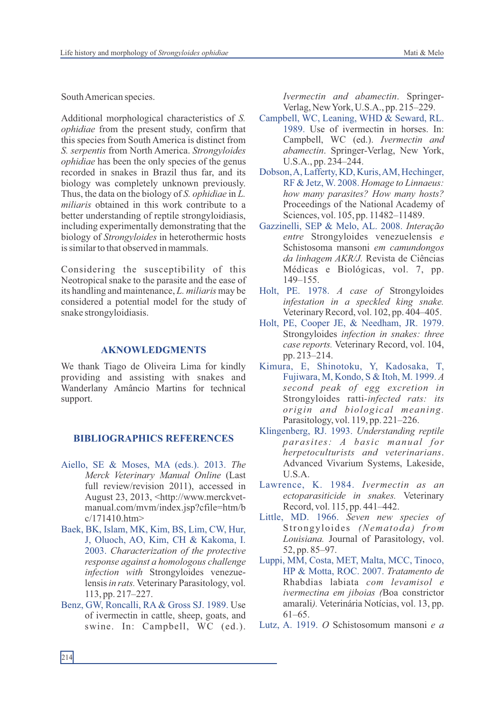South American species.

Additional morphological characteristics of *S. ophidiae* from the present study, confirm that this species from South America is distinct from *S. serpentis* from North America. *Strongyloides ophidiae* has been the only species of the genus recorded in snakes in Brazil thus far, and its biology was completely unknown previously. Thus, the data on the biology of *S. ophidiae* in *L. miliaris* obtained in this work contribute to a better understanding of reptile strongyloidiasis, including experimentally demonstrating that the biology of *Strongyloides* in heterothermic hosts is similar to that observed in mammals.

Considering the susceptibility of this Neotropical snake to the parasite and the ease of its handling and maintenance, *L. miliaris* may be considered a potential model for the study of snake strongyloidiasis.

#### **AKNOWLEDGMENTS**

We thank Tiago de Oliveira Lima for kindly providing and assisting with snakes and Wanderlany Amâncio Martins for technical support.

## **BIBLIOGRAPHICS REFERENCES**

- Aiello, SE & Moses, MA (eds.). 2013. *The Merck Veterinary Manual Online* (Last full review/revision 2011), accessed in August 23, 2013, <http://www.merckvetmanual.com/mvm/index.jsp?cfile=htm/b c/171410.htm>
- Baek, BK, Islam, MK, Kim, BS, Lim, CW, Hur, J, Oluoch, AO, Kim, CH & Kakoma, I. 2003. *Characterization of the protective response against a homologous challenge infection with* Strongyloides venezuelensis in rats. Veterinary Parasitology, vol. 113, pp. 217–227.
- Benz, GW, Roncalli, RA & Gross SJ. 1989. Use of ivermectin in cattle, sheep, goats, and swine. In: Campbell, WC (ed.).

*Ivermectin and abamectin*. Springer-Verlag, New York, U.S.A., pp. 215–229.

- Campbell, WC, Leaning, WHD & Seward, RL. 1989. Use of ivermectin in horses. In: Campbell, WC (ed.). *Ivermectin and abamectin*. Springer-Verlag, New York, U.S.A., pp. 234–244.
- Dobson, A, Lafferty, KD, Kuris, AM, Hechinger, RF & Jetz, W. 2008. *Homage to Linnaeus: how many parasites? How many hosts?* Proceedings of the National Academy of Sciences, vol. 105, pp. 11482–11489.
- Gazzinelli, SEP & Melo, AL. 2008. *Interação entre* Strongyloides venezuelensis *e* Schistosoma mansoni *em camundongos da linhagem AKR/J.* Revista de Ciências Médicas e Biológicas, vol. 7, pp. 149–155.
- Holt, PE. 1978. *A case of* Strongyloides *infestation in a speckled king snake.* Veterinary Record, vol. 102, pp. 404–405.
- Holt, PE, Cooper JE, & Needham, JR. 1979. Strongyloides *infection in snakes: three case reports.* Veterinary Record, vol. 104, pp. 213–214.
- Kimura, E, Shinotoku, Y, Kadosaka, T, Fujiwara, M, Kondo, S & Itoh, M. 1999. *A second peak of egg excretion in* Strongyloides ratti*-infected rats: its origin and biological meaning.* Parasitology, vol. 119, pp. 221–226.
- Klingenberg, RJ. 1993. *Understanding reptile parasit e s: A basi c manual for herpetoculturists and veterinarians*. Advanced Vivarium Systems, Lakeside, U.S.A.
- Lawrence, K. 1984. *Ivermectin as an ectoparasiticide in snakes.* Veterinary Record, vol. 115, pp. 441–442.
- Little, MD. 1966. *Seven new species of* Strongyloides *(Nematoda) from Louisiana.* Journal of Parasitology, vol. 52, pp. 85–97.
- Luppi, MM, Costa, MET, Malta, MCC, Tinoco, HP & Motta, ROC. 2007. *Tratamento de*  Rhabdias labiata *com levamisol e ivermectina em jiboias (*Boa constrictor amarali*).* Veterinária Notícias, vol. 13, pp. 61–65.
- Lutz, A. 1919. *O* Schistosomum mansoni *e a*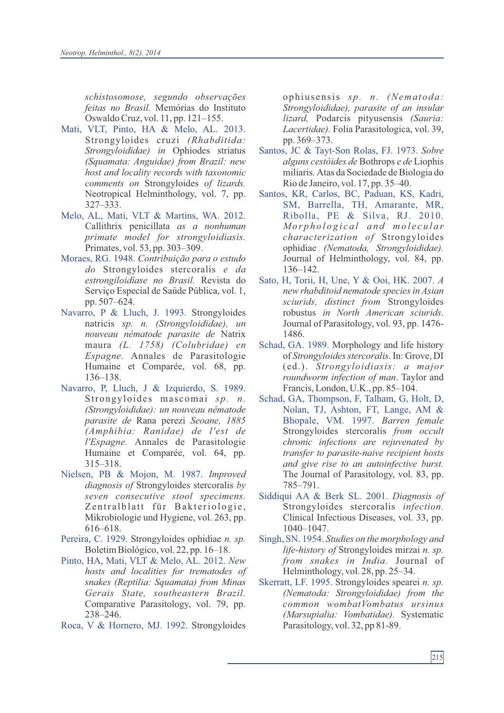*schistosomose, segundo observações feitas no Brasil.* Memórias do Instituto Oswaldo Cruz, vol. 11, pp. 121–155.

- Mati, VLT, Pinto, HA & Melo, AL. 2013. Strongyloides cruzi *(Rhabditida: Strongyloididae) in* Ophiodes striatus *(Squamata: Anguidae) from Brazil: new host and locality records with taxonomic comments on* Strongyloides *of lizards.* Neotropical Helminthology, vol. 7, pp. 327–333.
- Melo, AL, Mati, VLT & Martins, WA. 2012. Callithrix penicillata *as a nonhuman primate model for strongyloidiasis.* Primates, vol. 53, pp. 303–309.
- Moraes, RG. 1948. *Contribuição para o estudo do* Strongyloides stercoralis *e da estrongiloidíase no Brasil.* Revista do Serviço Especial de Saúde Pública, vol. 1, pp. 507–624.
- Navarro, P & Lluch, J. 1993. Strongyloides natricis *sp. n. (Strongyloididae), un nouveau nématode parasite de* Natrix maura *(L. 1758) (Colubridae) en Espagne.* Annales de Parasitologie Humaine et Comparée, vol. 68, pp. 136–138.
- Navarro, P, Lluch, J & Izquierdo, S. 1989. Strongyloides mascomai *sp. n. (Strongyloididae): un nouveau nématode parasite de* Rana perezi *Seoane, 1885 (Amphibia: Ranidae) de l'est de l'Espagne.* Annales de Parasitologie Humaine et Comparée, vol. 64, pp. 315–318.
- Nielsen, PB & Mojon, M. 1987. *Improved diagnosis of* Strongyloides stercoralis *by seven consecutive stool specimens.* Zentralblatt für Bakteriologie, Mikrobiologie und Hygiene, vol. 263, pp. 616–618.
- Pereira, C. 1929. Strongyloides ophidiae *n. sp.* Boletim Biológico, vol. 22, pp. 16–18.
- Pinto, HA, Mati, VLT & Melo, AL. 2012. *New hosts and localities for trematodes of snakes (Reptilia: Squamata) from Minas Gerais State, southeastern Brazil.* Comparative Parasitology, vol. 79, pp. 238–246.
- Roca, V & Hornero, MJ. 1992. Strongyloides

ophius ensis *sp. n. (Nematoda: Strongyloididae), parasite of an insular lizard,* Podarcis pityusensis *(Sauria: Lacertidae).* Folia Parasitologica, vol. 39, pp. 369–373.

- Santos, JC & Tayt-Son Rolas, FJ. 1973. *Sobre alguns cestóides de* Bothrops *e de* Liophis miliaris*.* Atas da Sociedade de Biologia do Rio de Janeiro, vol. 17, pp. 35–40.
- Santos, KR, Carlos, BC, Paduan, KS, Kadri, SM, Barrella, TH, Amarante, MR, Ribolla, PE & Silva, RJ. 2010. *Morphological* and molecular *characterization of* Strongyloides ophidiae *(Nematoda, Strongyloididae).* Journal of Helminthology, vol. 84, pp. 136–142.
- Sato, H, Torii, H, Une, Y & Ooi, HK. 2007. *A new rhabditoid nematode species in Asian sciurids, distinct from* Strongyloides robustus *in North American sciurids*. Journal of Parasitology, vol. 93, pp. 1476- 1486.
- Schad, GA. 1989. Morphology and life history of *Strongyloides stercoralis*. In: Grove, DI (ed.). *Strongyloidiasis: a major roundworm infection of man*. Taylor and Francis, London, U.K., pp. 85–104.
- Schad, GA, Thompson, F, Talham, G, Holt, D, Nolan, TJ, Ashton, FT, Lange, AM & Bhopale, VM. 1997. *Barren female* Strongyloides stercoralis *from occult chronic infections are rejuvenated by transfer to parasite-naive recipient hosts and give rise to an autoinfective burst.*  The Journal of Parasitology, vol. 83, pp. 785–791.
- Siddiqui AA & Berk SL. 2001. *Diagnosis of*  Strongyloides stercoralis *infection.* Clinical Infectious Diseases, vol. 33, pp. 1040–1047.
- Singh, SN. 1954. *Studies on the morphology and life-history of* Strongyloides mirzai *n. sp. from snakes in India.* Journal of Helminthology, vol. 28, pp. 25–34.
- Skerratt, LF. 1995. Strongyloides spearei *n. sp. (Nematoda: Strongyloididae) from the common wombatVombatus ursinus (Marsupialia: Vombatidae).* Systematic Parasitology, vol. 32, pp 81-89.

215